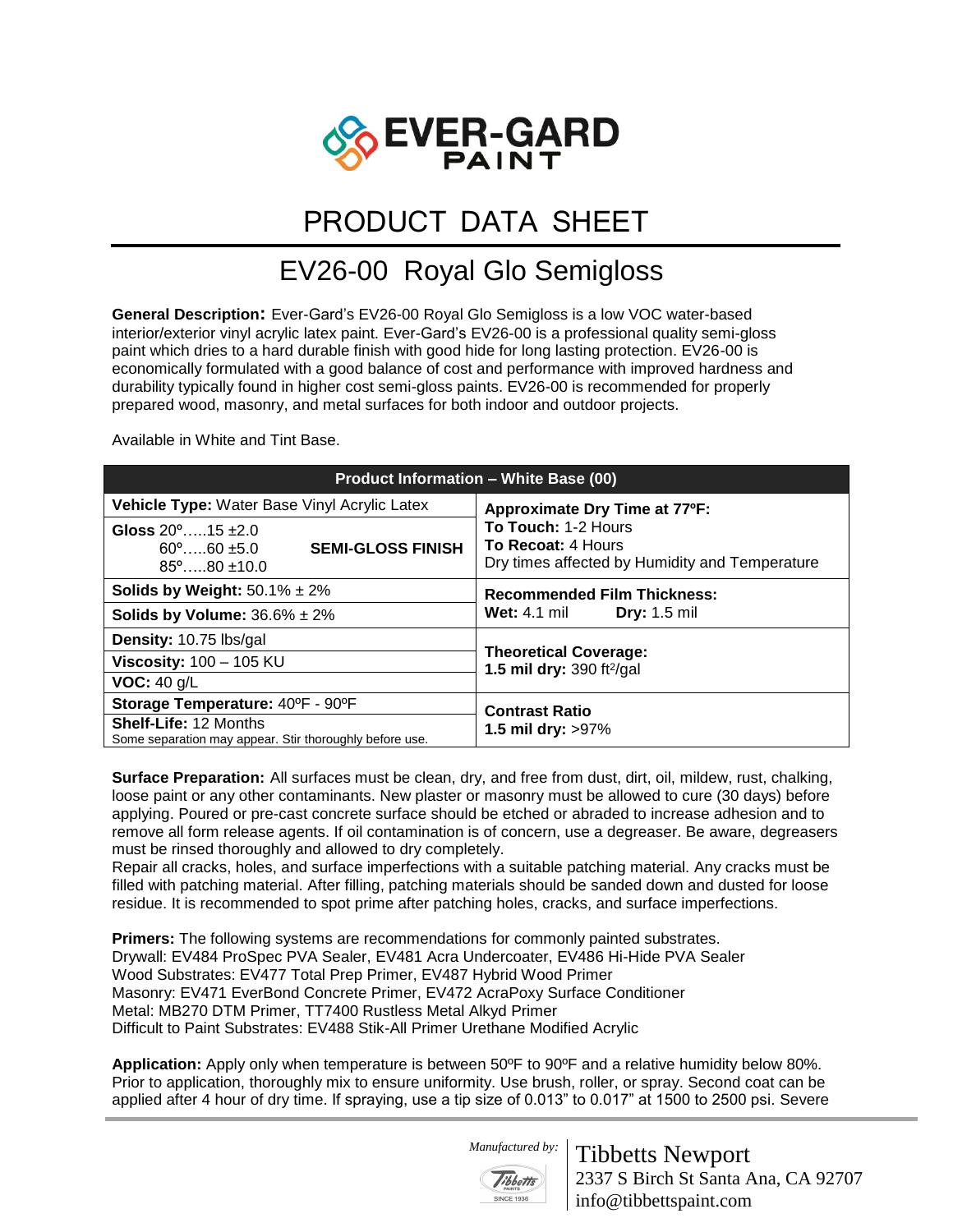

## PRODUCT DATA SHEET

## EV26-00 Royal Glo Semigloss

**General Description:** Ever-Gard's EV26-00 Royal Glo Semigloss is a low VOC water-based interior/exterior vinyl acrylic latex paint. Ever-Gard's EV26-00 is a professional quality semi-gloss paint which dries to a hard durable finish with good hide for long lasting protection. EV26-00 is economically formulated with a good balance of cost and performance with improved hardness and durability typically found in higher cost semi-gloss paints. EV26-00 is recommended for properly prepared wood, masonry, and metal surfaces for both indoor and outdoor projects.

Available in White and Tint Base.

| <b>Product Information - White Base (00)</b>                                                                           |                                                                                                    |
|------------------------------------------------------------------------------------------------------------------------|----------------------------------------------------------------------------------------------------|
| <b>Vehicle Type:</b> Water Base Vinyl Acrylic Latex                                                                    | Approximate Dry Time at 77°F:                                                                      |
| Gloss $20^{\circ}$ 15 $\pm 2.0$<br><b>SEMI-GLOSS FINISH</b><br>$60^{\circ}$ $60 \pm 5.0$<br>$85^{\circ}$ $80 \pm 10.0$ | To Touch: 1-2 Hours<br><b>To Recoat: 4 Hours</b><br>Dry times affected by Humidity and Temperature |
| <b>Solids by Weight:</b> $50.1\% \pm 2\%$                                                                              | <b>Recommended Film Thickness:</b><br><b>Wet:</b> 4.1 mil<br><b>Dry:</b> 1.5 mil                   |
| Solids by Volume: $36.6\% \pm 2\%$                                                                                     |                                                                                                    |
| <b>Density: 10.75 lbs/gal</b>                                                                                          | <b>Theoretical Coverage:</b><br>1.5 mil dry: 390 ft <sup>2</sup> /gal                              |
| Viscosity: $100 - 105$ KU                                                                                              |                                                                                                    |
| VOC: 40 g/L                                                                                                            |                                                                                                    |
| Storage Temperature: 40°F - 90°F                                                                                       | <b>Contrast Ratio</b><br>1.5 mil dry: $>97\%$                                                      |
| <b>Shelf-Life: 12 Months</b><br>Some separation may appear. Stir thoroughly before use.                                |                                                                                                    |

**Surface Preparation:** All surfaces must be clean, dry, and free from dust, dirt, oil, mildew, rust, chalking, loose paint or any other contaminants. New plaster or masonry must be allowed to cure (30 days) before applying. Poured or pre-cast concrete surface should be etched or abraded to increase adhesion and to remove all form release agents. If oil contamination is of concern, use a degreaser. Be aware, degreasers must be rinsed thoroughly and allowed to dry completely.

Repair all cracks, holes, and surface imperfections with a suitable patching material. Any cracks must be filled with patching material. After filling, patching materials should be sanded down and dusted for loose residue. It is recommended to spot prime after patching holes, cracks, and surface imperfections.

**Primers:** The following systems are recommendations for commonly painted substrates. Drywall: EV484 ProSpec PVA Sealer, EV481 Acra Undercoater, EV486 Hi-Hide PVA Sealer Wood Substrates: EV477 Total Prep Primer, EV487 Hybrid Wood Primer Masonry: EV471 EverBond Concrete Primer, EV472 AcraPoxy Surface Conditioner Metal: MB270 DTM Primer, TT7400 Rustless Metal Alkyd Primer Difficult to Paint Substrates: EV488 Stik-All Primer Urethane Modified Acrylic

**Application:** Apply only when temperature is between 50ºF to 90ºF and a relative humidity below 80%. Prior to application, thoroughly mix to ensure uniformity. Use brush, roller, or spray. Second coat can be applied after 4 hour of dry time. If spraying, use a tip size of 0.013" to 0.017" at 1500 to 2500 psi. Severe

 *Manufactured by:* 



Tibbetts Newport 2337 S Birch St Santa Ana, CA 92707 info@tibbettspaint.com